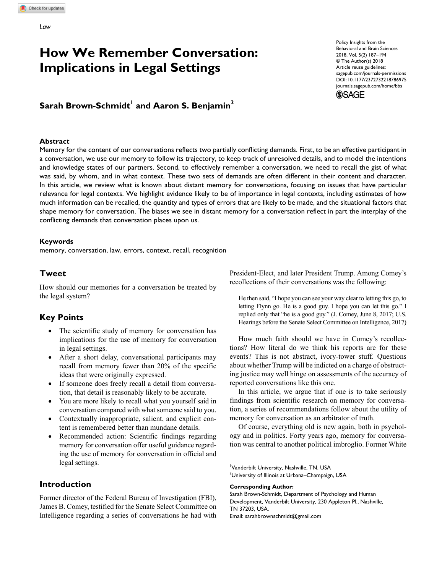# **How We Remember Conversation: Implications in Legal Settings**

Policy Insights from the Behavioral and Brain Sciences 2018, Vol. 5(2) 187–194 © The Author(s) 2018 Article reuse guidelines: [sagepub.com/journals-permissions](https://sagepub.com/journals-permissions) https://doi.org/10.1177/2372732218786975 DOI: 10.1177/2372732218786975 journals.sagepub.com/home/bbs **SSAGE** 

 $\mathsf{Sarah}\ \mathsf{Brown\text{-}Schmidt}^{\dagger}$  and  $\mathsf{Aaron}\ \mathsf{S.\}$  Benjamin $^2$ 

#### **Abstract**

Memory for the content of our conversations reflects two partially conflicting demands. First, to be an effective participant in a conversation, we use our memory to follow its trajectory, to keep track of unresolved details, and to model the intentions and knowledge states of our partners. Second, to effectively remember a conversation, we need to recall the gist of what was said, by whom, and in what context. These two sets of demands are often different in their content and character. In this article, we review what is known about distant memory for conversations, focusing on issues that have particular relevance for legal contexts. We highlight evidence likely to be of importance in legal contexts, including estimates of how much information can be recalled, the quantity and types of errors that are likely to be made, and the situational factors that shape memory for conversation. The biases we see in distant memory for a conversation reflect in part the interplay of the conflicting demands that conversation places upon us.

### **Keywords**

memory, conversation, law, errors, context, recall, recognition

## **Tweet**

How should our memories for a conversation be treated by the legal system?

## **Key Points**

- The scientific study of memory for conversation has implications for the use of memory for conversation in legal settings.
- After a short delay, conversational participants may recall from memory fewer than 20% of the specific ideas that were originally expressed.
- If someone does freely recall a detail from conversation, that detail is reasonably likely to be accurate.
- You are more likely to recall what you yourself said in conversation compared with what someone said to you.
- Contextually inappropriate, salient, and explicit content is remembered better than mundane details.
- Recommended action: Scientific findings regarding memory for conversation offer useful guidance regarding the use of memory for conversation in official and legal settings.

## **Introduction**

Former director of the Federal Bureau of Investigation (FBI), James B. Comey, testified for the Senate Select Committee on Intelligence regarding a series of conversations he had with

President-Elect, and later President Trump. Among Comey's recollections of their conversations was the following:

He then said, "I hope you can see your way clear to letting this go, to letting Flynn go. He is a good guy. I hope you can let this go." I replied only that "he is a good guy." (J. Comey, June 8, 2017; U.S. Hearings before the Senate Select Committee on Intelligence, 2017)

How much faith should we have in Comey's recollections? How literal do we think his reports are for these events? This is not abstract, ivory-tower stuff. Questions about whether Trump will be indicted on a charge of obstructing justice may well hinge on assessments of the accuracy of reported conversations like this one.

In this article, we argue that if one is to take seriously findings from scientific research on memory for conversation, a series of recommendations follow about the utility of memory for conversation as an arbitrator of truth.

Of course, everything old is new again, both in psychology and in politics. Forty years ago, memory for conversation was central to another political imbroglio. Former White

**Corresponding Author:**

Sarah Brown-Schmidt, Department of Psychology and Human Development, Vanderbilt University, 230 Appleton Pl., Nashville, TN 37203, USA. Email: [sarahbrownschmidt@gmail.com](mailto:sarahbrownschmidt@gmail.com)

<sup>&</sup>lt;sup>1</sup>Vanderbilt University, Nashville, TN, USA

 $^{\rm 2}$ University of Illinois at Urbana–Champaign, USA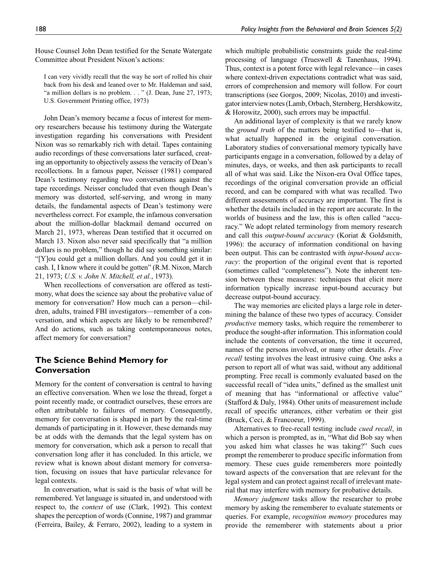House Counsel John Dean testified for the Senate Watergate Committee about President Nixon's actions:

I can very vividly recall that the way he sort of rolled his chair back from his desk and leaned over to Mr. Haldeman and said, "a million dollars is no problem. . . " (J. Dean, June 27, 1973; U.S. Government Printing office, 1973)

John Dean's memory became a focus of interest for memory researchers because his testimony during the Watergate investigation regarding his conversations with President Nixon was so remarkably rich with detail. Tapes containing audio recordings of these conversations later surfaced, creating an opportunity to objectively assess the veracity of Dean's recollections. In a famous paper, Neisser (1981) compared Dean's testimony regarding two conversations against the tape recordings. Neisser concluded that even though Dean's memory was distorted, self-serving, and wrong in many details, the fundamental aspects of Dean's testimony were nevertheless correct. For example, the infamous conversation about the million-dollar blackmail demand occurred on March 21, 1973, whereas Dean testified that it occurred on March 13. Nixon also never said specifically that "a million dollars is no problem," though he did say something similar: "[Y]ou could get a million dollars. And you could get it in cash. I, I know where it could be gotten" (R.M. Nixon, March 21, 1973; *U.S. v. John N. Mitchell, et al.*, 1973).

When recollections of conversation are offered as testimony, what does the science say about the probative value of memory for conversation? How much can a person—children, adults, trained FBI investigators—remember of a conversation, and which aspects are likely to be remembered? And do actions, such as taking contemporaneous notes, affect memory for conversation?

# **The Science Behind Memory for Conversation**

Memory for the content of conversation is central to having an effective conversation. When we lose the thread, forget a point recently made, or contradict ourselves, these errors are often attributable to failures of memory. Consequently, memory for conversation is shaped in part by the real-time demands of participating in it. However, these demands may be at odds with the demands that the legal system has on memory for conversation, which ask a person to recall that conversation long after it has concluded. In this article, we review what is known about distant memory for conversation, focusing on issues that have particular relevance for legal contexts.

In conversation, what is said is the basis of what will be remembered. Yet language is situated in, and understood with respect to, the *context* of use (Clark, 1992). This context shapes the perception of words (Connine, 1987) and grammar (Ferreira, Bailey, & Ferraro, 2002), leading to a system in

which multiple probabilistic constraints guide the real-time processing of language (Trueswell & Tanenhaus, 1994). Thus, context is a potent force with legal relevance—in cases where context-driven expectations contradict what was said, errors of comprehension and memory will follow. For court transcriptions (see Gorgos, 2009; Nicolas, 2010) and investigator interview notes (Lamb, Orbach, Sternberg, Hershkowitz, & Horowitz, 2000), such errors may be impactful.

An additional layer of complexity is that we rarely know the *ground truth* of the matters being testified to—that is, what actually happened in the original conversation. Laboratory studies of conversational memory typically have participants engage in a conversation, followed by a delay of minutes, days, or weeks, and then ask participants to recall all of what was said. Like the Nixon-era Oval Office tapes, recordings of the original conversation provide an official record, and can be compared with what was recalled. Two different assessments of accuracy are important. The first is whether the details included in the report are accurate. In the worlds of business and the law, this is often called "accuracy." We adopt related terminology from memory research and call this *output-bound accuracy* (Koriat & Goldsmith, 1996): the accuracy of information conditional on having been output. This can be contrasted with *input-bound accuracy*: the proportion of the original event that is reported (sometimes called "completeness"). Note the inherent tension between these measures: techniques that elicit more information typically increase input-bound accuracy but decrease output-bound accuracy.

The way memories are elicited plays a large role in determining the balance of these two types of accuracy. Consider *productive* memory tasks, which require the rememberer to produce the sought-after information. This information could include the contents of conversation, the time it occurred, names of the persons involved, or many other details. *Free recall* testing involves the least intrusive cuing. One asks a person to report all of what was said, without any additional prompting. Free recall is commonly evaluated based on the successful recall of "idea units," defined as the smallest unit of meaning that has "informational or affective value" (Stafford & Daly, 1984). Other units of measurement include recall of specific utterances, either verbatim or their gist (Bruck, Ceci, & Francoeur, 1999).

Alternatives to free-recall testing include *cued recall*, in which a person is prompted, as in, "What did Bob say when you asked him what classes he was taking?" Such cues prompt the rememberer to produce specific information from memory. These cues guide rememberers more pointedly toward aspects of the conversation that are relevant for the legal system and can protect against recall of irrelevant material that may interfere with memory for probative details.

*Memory judgment* tasks allow the researcher to probe memory by asking the rememberer to evaluate statements or queries. For example, *recognition memory* procedures may provide the rememberer with statements about a prior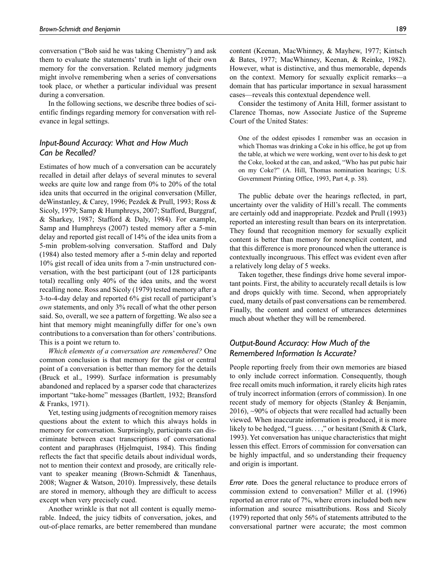conversation ("Bob said he was taking Chemistry") and ask them to evaluate the statements' truth in light of their own memory for the conversation. Related memory judgments might involve remembering when a series of conversations took place, or whether a particular individual was present during a conversation.

In the following sections, we describe three bodies of scientific findings regarding memory for conversation with relevance in legal settings.

## *Input-Bound Accuracy: What and How Much Can be Recalled?*

Estimates of how much of a conversation can be accurately recalled in detail after delays of several minutes to several weeks are quite low and range from 0% to 20% of the total idea units that occurred in the original conversation (Miller, deWinstanley, & Carey, 1996; Pezdek & Prull, 1993; Ross & Sicoly, 1979; Samp & Humphreys, 2007; Stafford, Burggraf, & Sharkey, 1987; Stafford & Daly, 1984). For example, Samp and Humphreys (2007) tested memory after a 5-min delay and reported gist recall of 14% of the idea units from a 5-min problem-solving conversation. Stafford and Daly (1984) also tested memory after a 5-min delay and reported 10% gist recall of idea units from a 7-min unstructured conversation, with the best participant (out of 128 participants total) recalling only 40% of the idea units, and the worst recalling none. Ross and Sicoly (1979) tested memory after a 3-to-4-day delay and reported 6% gist recall of participant's *own* statements, and only 3% recall of what the other person said. So, overall, we see a pattern of forgetting. We also see a hint that memory might meaningfully differ for one's own contributions to a conversation than for others' contributions. This is a point we return to.

*Which elements of a conversation are remembered?* One common conclusion is that memory for the gist or central point of a conversation is better than memory for the details (Bruck et al., 1999). Surface information is presumably abandoned and replaced by a sparser code that characterizes important "take-home" messages (Bartlett, 1932; Bransford & Franks, 1971).

Yet, testing using judgments of recognition memory raises questions about the extent to which this always holds in memory for conversation. Surprisingly, participants can discriminate between exact transcriptions of conversational content and paraphrases (Hjelmquist, 1984). This finding reflects the fact that specific details about individual words, not to mention their context and prosody, are critically relevant to speaker meaning (Brown-Schmidt & Tanenhaus, 2008; Wagner & Watson, 2010). Impressively, these details are stored in memory, although they are difficult to access except when very precisely cued.

Another wrinkle is that not all content is equally memorable. Indeed, the juicy tidbits of conversation, jokes, and out-of-place remarks, are better remembered than mundane content (Keenan, MacWhinney, & Mayhew, 1977; Kintsch & Bates, 1977; MacWhinney, Keenan, & Reinke, 1982). However, what is distinctive, and thus memorable, depends on the context. Memory for sexually explicit remarks—a domain that has particular importance in sexual harassment cases—reveals this contextual dependence well.

Consider the testimony of Anita Hill, former assistant to Clarence Thomas, now Associate Justice of the Supreme Court of the United States:

One of the oddest episodes I remember was an occasion in which Thomas was drinking a Coke in his office, he got up from the table, at which we were working, went over to his desk to get the Coke, looked at the can, and asked, "Who has put pubic hair on my Coke?" (A. Hill, Thomas nomination hearings; U.S. Government Printing Office, 1993, Part 4, p. 38).

The public debate over the hearings reflected, in part, uncertainty over the validity of Hill's recall. The comments are certainly odd and inappropriate. Pezdek and Prull (1993) reported an interesting result than bears on its interpretation. They found that recognition memory for sexually explicit content is better than memory for nonexplicit content, and that this difference is more pronounced when the utterance is contextually incongruous. This effect was evident even after a relatively long delay of 5 weeks.

Taken together, these findings drive home several important points. First, the ability to accurately recall details is low and drops quickly with time. Second, when appropriately cued, many details of past conversations can be remembered. Finally, the content and context of utterances determines much about whether they will be remembered.

## *Output-Bound Accuracy: How Much of the Remembered Information Is Accurate?*

People reporting freely from their own memories are biased to only include correct information. Consequently, though free recall omits much information, it rarely elicits high rates of truly incorrect information (errors of commission). In one recent study of memory for objects (Stanley & Benjamin, 2016), ~90% of objects that were recalled had actually been viewed. When inaccurate information is produced, it is more likely to be hedged, "I guess. . . ," or hesitant (Smith & Clark, 1993). Yet conversation has unique characteristics that might lessen this effect. Errors of commission for conversation can be highly impactful, and so understanding their frequency and origin is important.

*Error rate.* Does the general reluctance to produce errors of commission extend to conversation? Miller et al. (1996) reported an error rate of 7%, where errors included both new information and source misattributions. Ross and Sicoly (1979) reported that only 56% of statements attributed to the conversational partner were accurate; the most common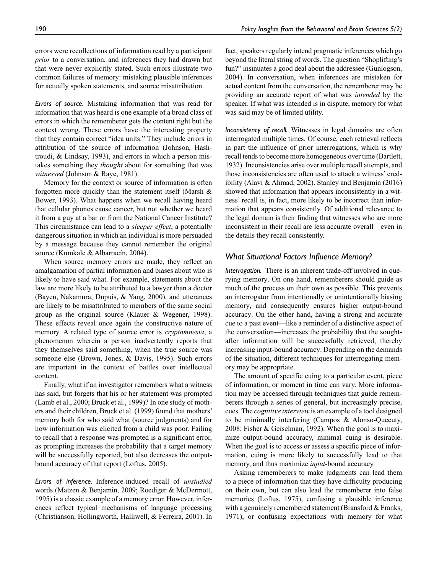errors were recollections of information read by a participant *prior* to a conversation, and inferences they had drawn but that were never explicitly stated. Such errors illustrate two common failures of memory: mistaking plausible inferences for actually spoken statements, and source misattribution.

*Errors of source.* Mistaking information that was read for information that was heard is one example of a broad class of errors in which the rememberer gets the content right but the context wrong. These errors have the interesting property that they contain correct "idea units." They include errors in attribution of the source of information (Johnson, Hashtroudi, & Lindsay, 1993), and errors in which a person mistakes something they *thought* about for something that was *witnessed* (Johnson & Raye, 1981).

Memory for the context or source of information is often forgotten more quickly than the statement itself (Marsh & Bower, 1993). What happens when we recall having heard that cellular phones cause cancer, but not whether we heard it from a guy at a bar or from the National Cancer Institute? This circumstance can lead to a *sleeper effect*, a potentially dangerous situation in which an individual is more persuaded by a message because they cannot remember the original source (Kumkale & Albarracín, 2004).

When source memory errors are made, they reflect an amalgamation of partial information and biases about who is likely to have said what. For example, statements about the law are more likely to be attributed to a lawyer than a doctor (Bayen, Nakamura, Dupuis, & Yang, 2000), and utterances are likely to be misattributed to members of the same social group as the original source (Klauer & Wegener, 1998). These effects reveal once again the constructive nature of memory. A related type of source error is *cryptomnesia*, a phenomenon wherein a person inadvertently reports that they themselves said something, when the true source was someone else (Brown, Jones, & Davis, 1995). Such errors are important in the context of battles over intellectual content.

Finally, what if an investigator remembers what a witness has said, but forgets that his or her statement was prompted (Lamb et al., 2000; Bruck et al., 1999)? In one study of mothers and their children, Bruck et al. (1999) found that mothers' memory both for who said what (source judgments) and for how information was elicited from a child was poor. Failing to recall that a response was prompted is a significant error, as prompting increases the probability that a target memory will be successfully reported, but also decreases the outputbound accuracy of that report (Loftus, 2005).

*Errors of inference.* Inference-induced recall of *unstudied* words (Matzen & Benjamin, 2009; Roediger & McDermott, 1995) is a classic example of a memory error. However, inferences reflect typical mechanisms of language processing (Christianson, Hollingworth, Halliwell, & Ferreira, 2001). In

fact, speakers regularly intend pragmatic inferences which go beyond the literal string of words. The question "Shoplifting's fun?" insinuates a good deal about the addressee (Gunlogson, 2004). In conversation, when inferences are mistaken for actual content from the conversation, the rememberer may be providing an accurate report of what was *intended* by the speaker. If what was intended is in dispute, memory for what was said may be of limited utility.

*Inconsistency of recall.* Witnesses in legal domains are often interrogated multiple times. Of course, each retrieval reflects in part the influence of prior interrogations, which is why recall tends to become more homogeneous over time (Bartlett, 1932). Inconsistencies arise over multiple recall attempts, and those inconsistencies are often used to attack a witness' credibility (Alavi & Ahmad, 2002). Stanley and Benjamin (2016) showed that information that appears inconsistently in a witness' recall is, in fact, more likely to be incorrect than information that appears consistently. Of additional relevance to the legal domain is their finding that witnesses who are more inconsistent in their recall are less accurate overall—even in the details they recall consistently.

#### *What Situational Factors Influence Memory?*

*Interrogation.* There is an inherent trade-off involved in querying memory. On one hand, rememberers should guide as much of the process on their own as possible. This prevents an interrogator from intentionally or unintentionally biasing memory, and consequently ensures higher output-bound accuracy. On the other hand, having a strong and accurate cue to a past event—like a reminder of a distinctive aspect of the conversation—increases the probability that the soughtafter information will be successfully retrieved, thereby increasing input-bound accuracy. Depending on the demands of the situation, different techniques for interrogating memory may be appropriate.

The amount of specific cuing to a particular event, piece of information, or moment in time can vary. More information may be accessed through techniques that guide rememberers through a series of general, but increasingly precise, cues. The *cognitive interview* is an example of a tool designed to be minimally interfering (Campos & Alonso-Quecuty, 2008; Fisher & Geiselman, 1992). When the goal is to maximize output-bound accuracy, minimal cuing is desirable. When the goal is to access or assess a specific piece of information, cuing is more likely to successfully lead to that memory, and thus maximize *input*-bound accuracy.

Asking rememberers to make judgments can lead them to a piece of information that they have difficulty producing on their own, but can also lead the rememberer into false memories (Loftus, 1975), confusing a plausible inference with a genuinely remembered statement (Bransford  $&$  Franks, 1971), or confusing expectations with memory for what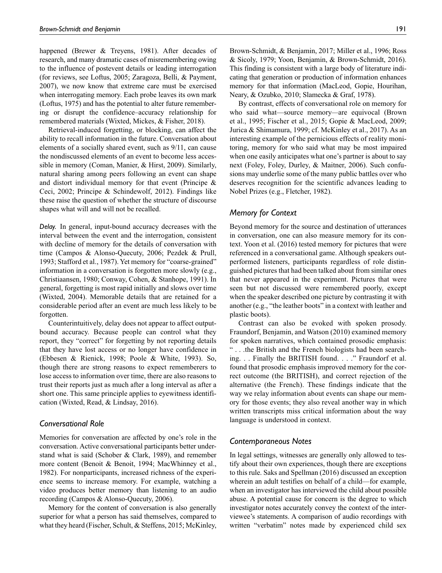happened (Brewer & Treyens, 1981). After decades of research, and many dramatic cases of misremembering owing to the influence of postevent details or leading interrogation (for reviews, see Loftus, 2005; Zaragoza, Belli, & Payment, 2007), we now know that extreme care must be exercised when interrogating memory. Each probe leaves its own mark (Loftus, 1975) and has the potential to alter future remembering or disrupt the confidence–accuracy relationship for remembered materials (Wixted, Mickes, & Fisher, 2018).

Retrieval-induced forgetting, or blocking, can affect the ability to recall information in the future. Conversation about elements of a socially shared event, such as 9/11, can cause the nondiscussed elements of an event to become less accessible in memory (Coman, Manier, & Hirst, 2009). Similarly, natural sharing among peers following an event can shape and distort individual memory for that event (Principe & Ceci, 2002; Principe & Schindewolf, 2012). Findings like these raise the question of whether the structure of discourse shapes what will and will not be recalled.

*Delay.* In general, input-bound accuracy decreases with the interval between the event and the interrogation, consistent with decline of memory for the details of conversation with time (Campos & Alonso-Quecuty, 2006; Pezdek & Prull, 1993; Stafford et al., 1987). Yet memory for "coarse-grained" information in a conversation is forgotten more slowly (e.g., Christiaansen, 1980; Conway, Cohen, & Stanhope, 1991). In general, forgetting is most rapid initially and slows over time (Wixted, 2004). Memorable details that are retained for a considerable period after an event are much less likely to be forgotten.

Counterintuitively, delay does not appear to affect outputbound accuracy. Because people can control what they report, they "correct" for forgetting by not reporting details that they have lost access or no longer have confidence in (Ebbesen & Rienick, 1998; Poole & White, 1993). So, though there are strong reasons to expect rememberers to lose access to information over time, there are also reasons to trust their reports just as much after a long interval as after a short one. This same principle applies to eyewitness identification (Wixted, Read, & Lindsay, 2016).

## *Conversational Role*

Memories for conversation are affected by one's role in the conversation. Active conversational participants better understand what is said (Schober & Clark, 1989), and remember more content (Benoit & Benoit, 1994; MacWhinney et al., 1982). For nonparticipants, increased richness of the experience seems to increase memory. For example, watching a video produces better memory than listening to an audio recording (Campos & Alonso-Quecuty, 2006).

Memory for the content of conversation is also generally superior for what a person has said themselves, compared to what they heard (Fischer, Schult, & Steffens, 2015; McKinley, Brown-Schmidt, & Benjamin, 2017; Miller et al., 1996; Ross & Sicoly, 1979; Yoon, Benjamin, & Brown-Schmidt, 2016). This finding is consistent with a large body of literature indicating that generation or production of information enhances memory for that information (MacLeod, Gopie, Hourihan, Neary, & Ozubko, 2010; Slamecka & Graf, 1978).

By contrast, effects of conversational role on memory for who said what—source memory*—*are equivocal (Brown et al., 1995; Fischer et al., 2015; Gopie & MacLeod, 2009; Jurica & Shimamura, 1999; cf. McKinley et al., 2017). As an interesting example of the pernicious effects of reality monitoring, memory for who said what may be most impaired when one easily anticipates what one's partner is about to say next (Foley, Foley, Durley, & Maitner, 2006). Such confusions may underlie some of the many public battles over who deserves recognition for the scientific advances leading to Nobel Prizes (e.g., Fletcher, 1982).

## *Memory for Context*

Beyond memory for the source and destination of utterances in conversation, one can also measure memory for its context. Yoon et al. (2016) tested memory for pictures that were referenced in a conversational game. Although speakers outperformed listeners, participants regardless of role distinguished pictures that had been talked about from similar ones that never appeared in the experiment. Pictures that were seen but not discussed were remembered poorly, except when the speaker described one picture by contrasting it with another (e.g., "the leather boots" in a context with leather and plastic boots).

Contrast can also be evoked with spoken prosody. Fraundorf, Benjamin, and Watson (2010) examined memory for spoken narratives, which contained prosodic emphasis: " . . .the British and the French biologists had been searching. . . Finally the BRITISH found. . . ." Fraundorf et al. found that prosodic emphasis improved memory for the correct outcome (the BRITISH), and correct rejection of the alternative (the French). These findings indicate that the way we relay information about events can shape our memory for those events; they also reveal another way in which written transcripts miss critical information about the way language is understood in context.

## *Contemporaneous Notes*

In legal settings, witnesses are generally only allowed to testify about their own experiences, though there are exceptions to this rule. Saks and Spellman (2016) discussed an exception wherein an adult testifies on behalf of a child—for example, when an investigator has interviewed the child about possible abuse. A potential cause for concern is the degree to which investigator notes accurately convey the context of the interviewee's statements. A comparison of audio recordings with written "verbatim" notes made by experienced child sex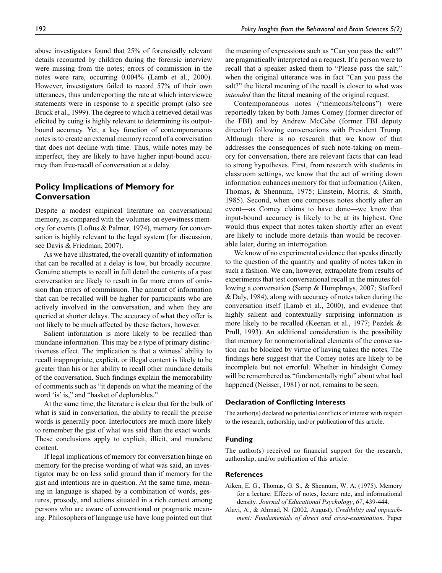abuse investigators found that 25% of forensically relevant details recounted by children during the forensic interview were missing from the notes; errors of commission in the notes were rare, occurring 0.004% (Lamb et al., 2000). However, investigators failed to record 57% of their own utterances, thus underreporting the rate at which interviewee statements were in response to a specific prompt (also see Bruck et al., 1999). The degree to which a retrieved detail was elicited by cuing is highly relevant to determining its outputbound accuracy. Yet, a key function of contemporaneous notes is to create an external memory record of a conversation that does not decline with time. Thus, while notes may be imperfect, they are likely to have higher input-bound accuracy than free-recall of conversation at a delay.

# **Policy Implications of Memory for Conversation**

Despite a modest empirical literature on conversational memory, as compared with the volumes on eyewitness memory for events (Loftus & Palmer, 1974), memory for conversation is highly relevant to the legal system (for discussion, see Davis & Friedman, 2007).

As we have illustrated, the overall quantity of information that can be recalled at a delay is low, but broadly accurate. Genuine attempts to recall in full detail the contents of a past conversation are likely to result in far more errors of omission than errors of commission. The amount of information that can be recalled will be higher for participants who are actively involved in the conversation, and when they are queried at shorter delays. The accuracy of what they offer is not likely to be much affected by these factors, however.

Salient information is more likely to be recalled than mundane information. This may be a type of primary distinctiveness effect. The implication is that a witness' ability to recall inappropriate, explicit, or illegal content is likely to be greater than his or her ability to recall other mundane details of the conversation. Such findings explain the memorability of comments such as "it depends on what the meaning of the word 'is' is," and "basket of deplorables."

At the same time, the literature is clear that for the bulk of what is said in conversation, the ability to recall the precise words is generally poor. Interlocutors are much more likely to remember the gist of what was said than the exact words. These conclusions apply to explicit, illicit, and mundane content.

If legal implications of memory for conversation hinge on memory for the precise wording of what was said, an investigator may be on less solid ground than if memory for the gist and intentions are in question. At the same time, meaning in language is shaped by a combination of words, gestures, prosody, and actions situated in a rich context among persons who are aware of conventional or pragmatic meaning. Philosophers of language use have long pointed out that the meaning of expressions such as "Can you pass the salt?" are pragmatically interpreted as a request. If a person were to recall that a speaker asked them to "Please pass the salt," when the original utterance was in fact "Can you pass the salt?" the literal meaning of the recall is closer to what was *intended* than the literal meaning of the original request.

Contemporaneous notes ("memcons/telcons") were reportedly taken by both James Comey (former director of the FBI) and by Andrew McCabe (former FBI deputy director) following conversations with President Trump. Although there is no research that we know of that addresses the consequences of such note-taking on memory for conversation, there are relevant facts that can lead to strong hypotheses. First, from research with students in classroom settings, we know that the act of writing down information enhances memory for that information (Aiken, Thomas, & Shennum, 1975; Einstein, Morris, & Smith, 1985). Second, when one composes notes shortly after an event—as Comey claims to have done—we know that input-bound accuracy is likely to be at its highest. One would thus expect that notes taken shortly after an event are likely to include more details than would be recoverable later, during an interrogation.

We know of no experimental evidence that speaks directly to the question of the quantity and quality of notes taken in such a fashion. We can, however, extrapolate from results of experiments that test conversational recall in the minutes following a conversation (Samp & Humphreys, 2007; Stafford & Daly, 1984), along with accuracy of notes taken during the conversation itself (Lamb et al., 2000), and evidence that highly salient and contextually surprising information is more likely to be recalled (Keenan et al., 1977; Pezdek & Prull, 1993). An additional consideration is the possibility that memory for nonmemorialized elements of the conversation can be blocked by virtue of having taken the notes. The findings here suggest that the Comey notes are likely to be incomplete but not errorful. Whether in hindsight Comey will be remembered as "fundamentally right" about what had happened (Neisser, 1981) or not, remains to be seen.

#### **Declaration of Conflicting Interests**

The author(s) declared no potential conflicts of interest with respect to the research, authorship, and/or publication of this article.

#### **Funding**

The author(s) received no financial support for the research, authorship, and/or publication of this article.

#### **References**

- Aiken, E. G., Thomas, G. S., & Shennum, W. A. (1975). Memory for a lecture: Effects of notes, lecture rate, and informational density. *Journal of Educational Psychology*, *67*, 439-444.
- Alavi, A., & Ahmad, N. (2002, August). *Credibility and impeachment: Fundamentals of direct and cross-examination*. Paper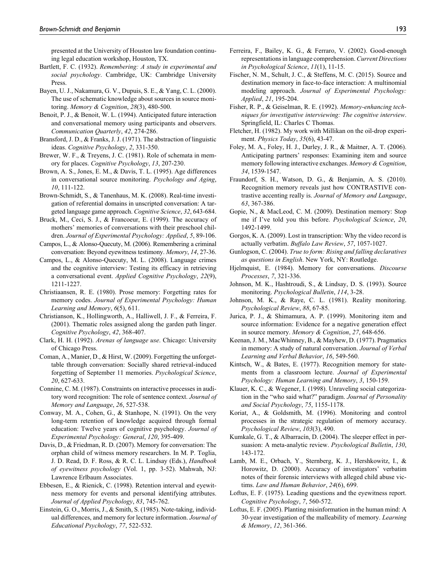presented at the University of Houston law foundation continuing legal education workshop, Houston, TX.

- Bartlett, F. C. (1932). *Remembering: A study in experimental and social psychology*. Cambridge, UK: Cambridge University Press.
- Bayen, U. J., Nakamura, G. V., Dupuis, S. E., & Yang, C. L. (2000). The use of schematic knowledge about sources in source monitoring. *Memory & Cognition*, *28*(3), 480-500.
- Benoit, P. J., & Benoit, W. L. (1994). Anticipated future interaction and conversational memory using participants and observers. *Communication Quarterly*, *42*, 274-286.
- Bransford, J. D., & Franks, J. J. (1971). The abstraction of linguistic ideas. *Cognitive Psychology*, *2*, 331-350.
- Brewer, W. F., & Treyens, J. C. (1981). Role of schemata in memory for places. *Cognitive Psychology*, *13*, 207-230.
- Brown, A. S., Jones, E. M., & Davis, T. L. (1995). Age differences in conversational source monitoring. *Psychology and Aging*, *10*, 111-122.
- Brown-Schmidt, S., & Tanenhaus, M. K. (2008). Real-time investigation of referential domains in unscripted conversation: A targeted language game approach. *Cognitive Science*, *32*, 643-684.
- Bruck, M., Ceci, S. J., & Francoeur, E. (1999). The accuracy of mothers' memories of conversations with their preschool children. *Journal of Experimental Psychology: Applied*, *5*, 89-106.
- Campos, L., & Alonso-Quecuty, M. (2006). Remembering a criminal conversation: Beyond eyewitness testimony. *Memory*, *14*, 27-36.
- Campos, L., & Alonso-Quecuty, M. L. (2008). Language crimes and the cognitive interview: Testing its efficacy in retrieving a conversational event. *Applied Cognitive Psychology*, *22*(9), 1211-1227.
- Christiaansen, R. E. (1980). Prose memory: Forgetting rates for memory codes. *Journal of Experimental Psychology: Human Learning and Memory*, *6*(5), 611.
- Christianson, K., Hollingworth, A., Halliwell, J. F., & Ferreira, F. (2001). Thematic roles assigned along the garden path linger. *Cognitive Psychology*, *42*, 368-407.
- Clark, H. H. (1992). *Arenas of language use*. Chicago: University of Chicago Press.
- Coman, A., Manier, D., & Hirst, W. (2009). Forgetting the unforgettable through conversation: Socially shared retrieval-induced forgetting of September 11 memories. *Psychological Science*, *20*, 627-633.
- Connine, C. M. (1987). Constraints on interactive processes in auditory word recognition: The role of sentence context. *Journal of Memory and Language*, *26*, 527-538.
- Conway, M. A., Cohen, G., & Stanhope, N. (1991). On the very long-term retention of knowledge acquired through formal education: Twelve years of cognitive psychology. *Journal of Experimental Psychology: General*, *120*, 395-409.
- Davis, D., & Friedman, R. D. (2007). Memory for conversation: The orphan child of witness memory researchers. In M. P. Toglia, J. D. Read, D. F. Ross, & R. C. L. Lindsay (Eds.), *Handbook of eyewitness psychology* (Vol. 1, pp. 3-52). Mahwah, NJ: Lawrence Erlbaum Associates.
- Ebbesen, E., & Rienick, C. (1998). Retention interval and eyewitness memory for events and personal identifying attributes. *Journal of Applied Psychology*, *83*, 745-762.
- Einstein, G. O., Morris, J., & Smith, S. (1985). Note-taking, individual differences, and memory for lecture information. *Journal of Educational Psychology*, *77*, 522-532.
- Ferreira, F., Bailey, K. G., & Ferraro, V. (2002). Good-enough representations in language comprehension. *Current Directions in Psychological Science*, *11*(1), 11-15.
- Fischer, N. M., Schult, J. C., & Steffens, M. C. (2015). Source and destination memory in face-to-face interaction: A multinomial modeling approach. *Journal of Experimental Psychology: Applied*, *21*, 195-204.
- Fisher, R. P., & Geiselman, R. E. (1992). *Memory-enhancing techniques for investigative interviewing: The cognitive interview*. Springfield, IL: Charles C Thomas.
- Fletcher, H. (1982). My work with Millikan on the oil-drop experiment. *Physics Today*, *35*(6), 43-47.
- Foley, M. A., Foley, H. J., Durley, J. R., & Maitner, A. T. (2006). Anticipating partners' responses: Examining item and source memory following interactive exchanges. *Memory & Cognition*, *34*, 1539-1547.
- Fraundorf, S. H., Watson, D. G., & Benjamin, A. S. (2010). Recognition memory reveals just how CONTRASTIVE contrastive accenting really is. *Journal of Memory and Language*, *63*, 367-386.
- Gopie, N., & MacLeod, C. M. (2009). Destination memory: Stop me if I've told you this before. *Psychological Science*, *20*, 1492-1499.
- Gorgos, K. A. (2009). Lost in transcription: Why the video record is actually verbatim. *Buffalo Law Review*, *57*, 1057-1027.
- Gunlogson, C. (2004). *True to form: Rising and falling declaratives as questions in English*. New York, NY: Routledge.
- Hjelmquist, E. (1984). Memory for conversations. *Discourse Processes*, *7*, 321-336.
- Johnson, M. K., Hashtroudi, S., & Lindsay, D. S. (1993). Source monitoring. *Psychological Bulletin*, *114*, 3-28.
- Johnson, M. K., & Raye, C. L. (1981). Reality monitoring. *Psychological Review*, *88*, 67-85.
- Jurica, P. J., & Shimamura, A. P. (1999). Monitoring item and source information: Evidence for a negative generation effect in source memory. *Memory & Cognition*, *27*, 648-656.
- Keenan, J. M., MacWhinney, B., & Mayhew, D. (1977). Pragmatics in memory: A study of natural conversation. *Journal of Verbal Learning and Verbal Behavior*, *16*, 549-560.
- Kintsch, W., & Bates, E. (1977). Recognition memory for statements from a classroom lecture. *Journal of Experimental Psychology: Human Learning and Memory*, *3*, 150-159.
- Klauer, K. C., & Wegener, I. (1998). Unraveling social categorization in the "who said what?" paradigm. *Journal of Personality and Social Psychology*, *75*, 1155-1178.
- Koriat, A., & Goldsmith, M. (1996). Monitoring and control processes in the strategic regulation of memory accuracy. *Psychological Review*, *103*(3), 490.
- Kumkale, G. T., & Albarracín, D. (2004). The sleeper effect in persuasion: A meta-analytic review. *Psychological Bulletin*, *130*, 143-172.
- Lamb, M. E., Orbach, Y., Sternberg, K. J., Hershkowitz, I., & Horowitz, D. (2000). Accuracy of investigators' verbatim notes of their forensic interviews with alleged child abuse victims. *Law and Human Behavior*, *24*(6), 699.
- Loftus, E. F. (1975). Leading questions and the eyewitness report. *Cognitive Psychology*, *7*, 560-572.
- Loftus, E. F. (2005). Planting misinformation in the human mind: A 30-year investigation of the malleability of memory. *Learning & Memory*, *12*, 361-366.